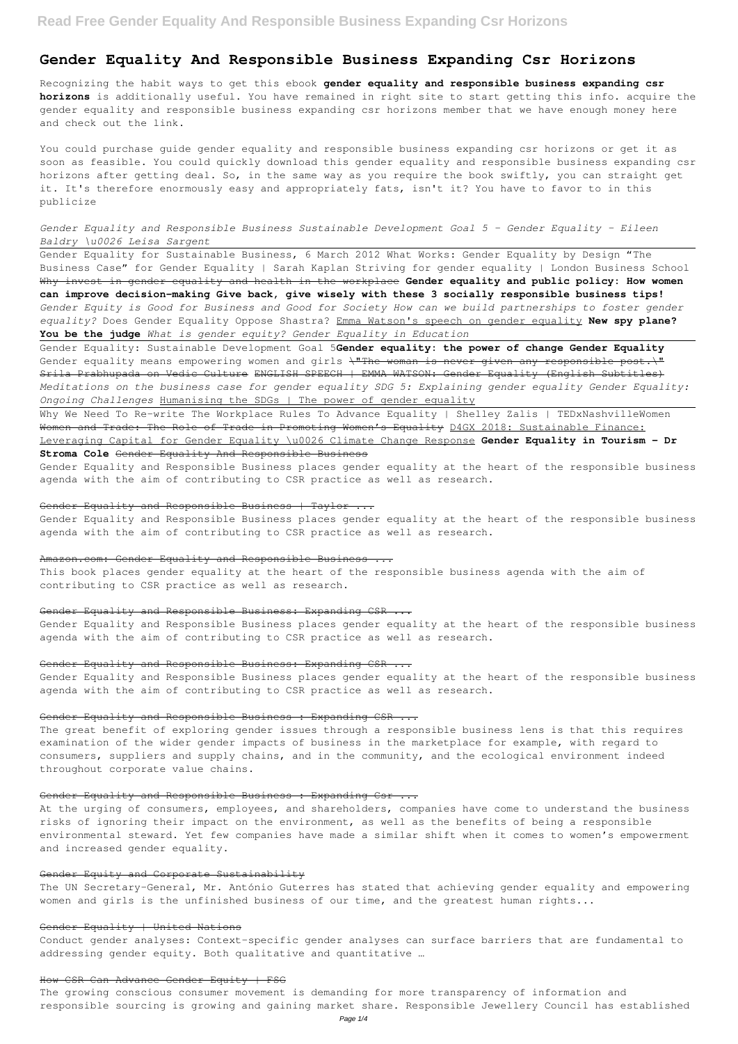# **Gender Equality And Responsible Business Expanding Csr Horizons**

Recognizing the habit ways to get this ebook **gender equality and responsible business expanding csr horizons** is additionally useful. You have remained in right site to start getting this info. acquire the gender equality and responsible business expanding csr horizons member that we have enough money here and check out the link.

You could purchase guide gender equality and responsible business expanding csr horizons or get it as soon as feasible. You could quickly download this gender equality and responsible business expanding csr horizons after getting deal. So, in the same way as you require the book swiftly, you can straight get it. It's therefore enormously easy and appropriately fats, isn't it? You have to favor to in this publicize

# *Gender Equality and Responsible Business Sustainable Development Goal 5 - Gender Equality - Eileen Baldry \u0026 Leisa Sargent*

Gender Equality for Sustainable Business, 6 March 2012 What Works: Gender Equality by Design "The Business Case" for Gender Equality | Sarah Kaplan Striving for gender equality | London Business School Why invest in gender equality and health in the workplace **Gender equality and public policy: How women can improve decision-making Give back, give wisely with these 3 socially responsible business tips!** *Gender Equity is Good for Business and Good for Society How can we build partnerships to foster gender equality?* Does Gender Equality Oppose Shastra? Emma Watson's speech on gender equality **New spy plane? You be the judge** *What is gender equity? Gender Equality in Education*

Gender Equality: Sustainable Development Goal 5**Gender equality: the power of change Gender Equality** Gender equality means empowering women and girls \"The woman is never given any responsible post.\" Srila Prabhupada on Vedic Culture ENGLISH SPEECH | EMMA WATSON: Gender Equality (English Subtitles) *Meditations on the business case for gender equality SDG 5: Explaining gender equality Gender Equality: Ongoing Challenges* Humanising the SDGs | The power of gender equality

Why We Need To Re-write The Workplace Rules To Advance Equality | Shelley Zalis | TEDxNashvilleWomen Women and Trade: The Role of Trade in Promoting Women's Equality D4GX 2018: Sustainable Finance:

# Leveraging Capital for Gender Equality \u0026 Climate Change Response **Gender Equality in Tourism – Dr Stroma Cole** Gender Equality And Responsible Business

Gender Equality and Responsible Business places gender equality at the heart of the responsible business agenda with the aim of contributing to CSR practice as well as research.

# Gender Equality and Responsible Business | Taylor ...

Gender Equality and Responsible Business places gender equality at the heart of the responsible business agenda with the aim of contributing to CSR practice as well as research.

### Amazon.com: Gender Equality and Responsible Business ...

This book places gender equality at the heart of the responsible business agenda with the aim of contributing to CSR practice as well as research.

## Gender Equality and Responsible Business: Expanding CSR ...

Gender Equality and Responsible Business places gender equality at the heart of the responsible business agenda with the aim of contributing to CSR practice as well as research.

### Gender Equality and Responsible Business: Expanding CSR ...

Gender Equality and Responsible Business places gender equality at the heart of the responsible business agenda with the aim of contributing to CSR practice as well as research.

# Gender Equality and Responsible Business : Expanding CSR ...

The great benefit of exploring gender issues through a responsible business lens is that this requires examination of the wider gender impacts of business in the marketplace for example, with regard to consumers, suppliers and supply chains, and in the community, and the ecological environment indeed throughout corporate value chains.

# Gender Equality and Responsible Business : Expanding Csr ...

At the urging of consumers, employees, and shareholders, companies have come to understand the business risks of ignoring their impact on the environment, as well as the benefits of being a responsible environmental steward. Yet few companies have made a similar shift when it comes to women's empowerment and increased gender equality.

# Gender Equity and Corporate Sustainability

The UN Secretary-General, Mr. António Guterres has stated that achieving gender equality and empowering women and girls is the unfinished business of our time, and the greatest human rights...

# Gender Equality | United Nations

Conduct gender analyses: Context-specific gender analyses can surface barriers that are fundamental to addressing gender equity. Both qualitative and quantitative …

# How CSR Can Advance Gender Equity | FSG

The growing conscious consumer movement is demanding for more transparency of information and responsible sourcing is growing and gaining market share. Responsible Jewellery Council has established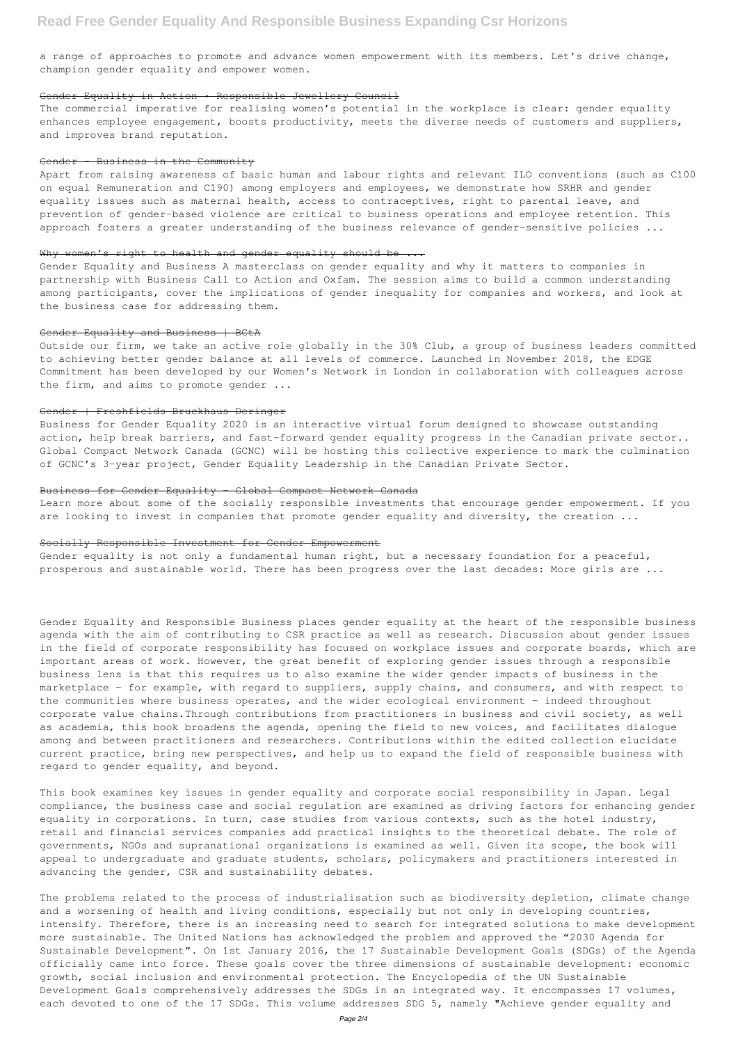a range of approaches to promote and advance women empowerment with its members. Let's drive change, champion gender equality and empower women.

# Gender Equality in Action • Responsible Jewellery Council

Apart from raising awareness of basic human and labour rights and relevant ILO conventions (such as C100 on equal Remuneration and C190) among employers and employees, we demonstrate how SRHR and gender equality issues such as maternal health, access to contraceptives, right to parental leave, and prevention of gender-based violence are critical to business operations and employee retention. This approach fosters a greater understanding of the business relevance of gender-sensitive policies ...

## Why women's right to health and gender equality should be

The commercial imperative for realising women's potential in the workplace is clear: gender equality enhances employee engagement, boosts productivity, meets the diverse needs of customers and suppliers, and improves brand reputation.

### Gender Business in the Community

Outside our firm, we take an active role globally in the 30% Club, a group of business leaders committed to achieving better gender balance at all levels of commerce. Launched in November 2018, the EDGE Commitment has been developed by our Women's Network in London in collaboration with colleagues across the firm, and aims to promote gender ...

Learn more about some of the socially responsible investments that encourage gender empowerment. If you are looking to invest in companies that promote gender equality and diversity, the creation ...

Gender Equality and Business A masterclass on gender equality and why it matters to companies in partnership with Business Call to Action and Oxfam. The session aims to build a common understanding among participants, cover the implications of gender inequality for companies and workers, and look at the business case for addressing them.

### Gender Equality and Business | BCtA

#### Gender | Freshfields Bruckhaus Deringer

Business for Gender Equality 2020 is an interactive virtual forum designed to showcase outstanding action, help break barriers, and fast-forward gender equality progress in the Canadian private sector.. Global Compact Network Canada (GCNC) will be hosting this collective experience to mark the culmination of GCNC's 3-year project, Gender Equality Leadership in the Canadian Private Sector.

# Business for Gender Equality – Global Compact Network Canada

### Socially Responsible Investment for Gender Empowerment

Gender equality is not only a fundamental human right, but a necessary foundation for a peaceful, prosperous and sustainable world. There has been progress over the last decades: More girls are ...

Gender Equality and Responsible Business places gender equality at the heart of the responsible business agenda with the aim of contributing to CSR practice as well as research. Discussion about gender issues in the field of corporate responsibility has focused on workplace issues and corporate boards, which are important areas of work. However, the great benefit of exploring gender issues through a responsible business lens is that this requires us to also examine the wider gender impacts of business in the marketplace – for example, with regard to suppliers, supply chains, and consumers, and with respect to the communities where business operates, and the wider ecological environment – indeed throughout corporate value chains.Through contributions from practitioners in business and civil society, as well as academia, this book broadens the agenda, opening the field to new voices, and facilitates dialogue among and between practitioners and researchers. Contributions within the edited collection elucidate current practice, bring new perspectives, and help us to expand the field of responsible business with regard to gender equality, and beyond.

This book examines key issues in gender equality and corporate social responsibility in Japan. Legal compliance, the business case and social regulation are examined as driving factors for enhancing gender equality in corporations. In turn, case studies from various contexts, such as the hotel industry, retail and financial services companies add practical insights to the theoretical debate. The role of governments, NGOs and supranational organizations is examined as well. Given its scope, the book will appeal to undergraduate and graduate students, scholars, policymakers and practitioners interested in advancing the gender, CSR and sustainability debates.

The problems related to the process of industrialisation such as biodiversity depletion, climate change and a worsening of health and living conditions, especially but not only in developing countries, intensify. Therefore, there is an increasing need to search for integrated solutions to make development more sustainable. The United Nations has acknowledged the problem and approved the "2030 Agenda for Sustainable Development". On 1st January 2016, the 17 Sustainable Development Goals (SDGs) of the Agenda officially came into force. These goals cover the three dimensions of sustainable development: economic growth, social inclusion and environmental protection. The Encyclopedia of the UN Sustainable Development Goals comprehensively addresses the SDGs in an integrated way. It encompasses 17 volumes, each devoted to one of the 17 SDGs. This volume addresses SDG 5, namely "Achieve gender equality and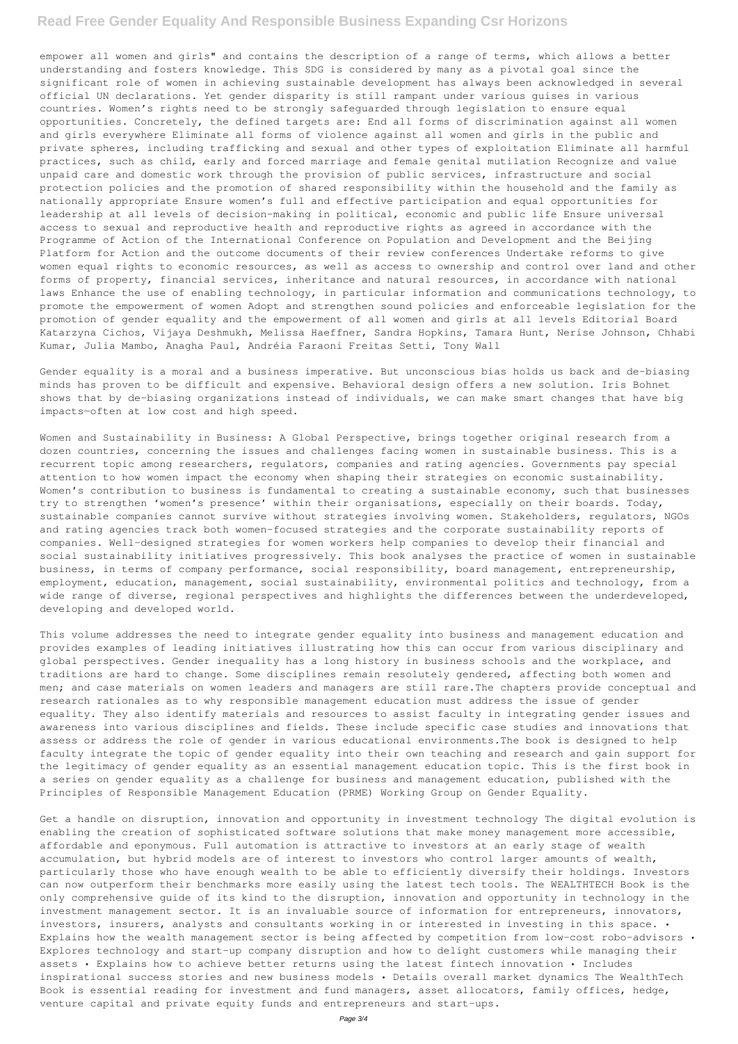# **Read Free Gender Equality And Responsible Business Expanding Csr Horizons**

empower all women and girls" and contains the description of a range of terms, which allows a better understanding and fosters knowledge. This SDG is considered by many as a pivotal goal since the significant role of women in achieving sustainable development has always been acknowledged in several official UN declarations. Yet gender disparity is still rampant under various guises in various countries. Women's rights need to be strongly safeguarded through legislation to ensure equal opportunities. Concretely, the defined targets are: End all forms of discrimination against all women and girls everywhere Eliminate all forms of violence against all women and girls in the public and private spheres, including trafficking and sexual and other types of exploitation Eliminate all harmful practices, such as child, early and forced marriage and female genital mutilation Recognize and value unpaid care and domestic work through the provision of public services, infrastructure and social protection policies and the promotion of shared responsibility within the household and the family as nationally appropriate Ensure women's full and effective participation and equal opportunities for leadership at all levels of decision-making in political, economic and public life Ensure universal access to sexual and reproductive health and reproductive rights as agreed in accordance with the Programme of Action of the International Conference on Population and Development and the Beijing Platform for Action and the outcome documents of their review conferences Undertake reforms to give women equal rights to economic resources, as well as access to ownership and control over land and other forms of property, financial services, inheritance and natural resources, in accordance with national laws Enhance the use of enabling technology, in particular information and communications technology, to promote the empowerment of women Adopt and strengthen sound policies and enforceable legislation for the promotion of gender equality and the empowerment of all women and girls at all levels Editorial Board Katarzyna Cichos, Vijaya Deshmukh, Melissa Haeffner, Sandra Hopkins, Tamara Hunt, Nerise Johnson, Chhabi Kumar, Julia Mambo, Anagha Paul, Andréia Faraoni Freitas Setti, Tony Wall

Gender equality is a moral and a business imperative. But unconscious bias holds us back and de-biasing minds has proven to be difficult and expensive. Behavioral design offers a new solution. Iris Bohnet shows that by de-biasing organizations instead of individuals, we can make smart changes that have big impacts—often at low cost and high speed.

Women and Sustainability in Business: A Global Perspective, brings together original research from a dozen countries, concerning the issues and challenges facing women in sustainable business. This is a recurrent topic among researchers, regulators, companies and rating agencies. Governments pay special attention to how women impact the economy when shaping their strategies on economic sustainability. Women's contribution to business is fundamental to creating a sustainable economy, such that businesses try to strengthen 'women's presence' within their organisations, especially on their boards. Today, sustainable companies cannot survive without strategies involving women. Stakeholders, regulators, NGOs and rating agencies track both women-focused strategies and the corporate sustainability reports of companies. Well-designed strategies for women workers help companies to develop their financial and social sustainability initiatives progressively. This book analyses the practice of women in sustainable business, in terms of company performance, social responsibility, board management, entrepreneurship, employment, education, management, social sustainability, environmental politics and technology, from a wide range of diverse, regional perspectives and highlights the differences between the underdeveloped, developing and developed world.

This volume addresses the need to integrate gender equality into business and management education and provides examples of leading initiatives illustrating how this can occur from various disciplinary and global perspectives. Gender inequality has a long history in business schools and the workplace, and traditions are hard to change. Some disciplines remain resolutely gendered, affecting both women and men; and case materials on women leaders and managers are still rare.The chapters provide conceptual and research rationales as to why responsible management education must address the issue of gender equality. They also identify materials and resources to assist faculty in integrating gender issues and awareness into various disciplines and fields. These include specific case studies and innovations that assess or address the role of gender in various educational environments.The book is designed to help faculty integrate the topic of gender equality into their own teaching and research and gain support for the legitimacy of gender equality as an essential management education topic. This is the first book in a series on gender equality as a challenge for business and management education, published with the

Principles of Responsible Management Education (PRME) Working Group on Gender Equality.

Get a handle on disruption, innovation and opportunity in investment technology The digital evolution is enabling the creation of sophisticated software solutions that make money management more accessible, affordable and eponymous. Full automation is attractive to investors at an early stage of wealth accumulation, but hybrid models are of interest to investors who control larger amounts of wealth, particularly those who have enough wealth to be able to efficiently diversify their holdings. Investors can now outperform their benchmarks more easily using the latest tech tools. The WEALTHTECH Book is the only comprehensive guide of its kind to the disruption, innovation and opportunity in technology in the investment management sector. It is an invaluable source of information for entrepreneurs, innovators, investors, insurers, analysts and consultants working in or interested in investing in this space. • Explains how the wealth management sector is being affected by competition from low-cost robo-advisors • Explores technology and start-up company disruption and how to delight customers while managing their assets • Explains how to achieve better returns using the latest fintech innovation • Includes inspirational success stories and new business models • Details overall market dynamics The WealthTech Book is essential reading for investment and fund managers, asset allocators, family offices, hedge, venture capital and private equity funds and entrepreneurs and start-ups.